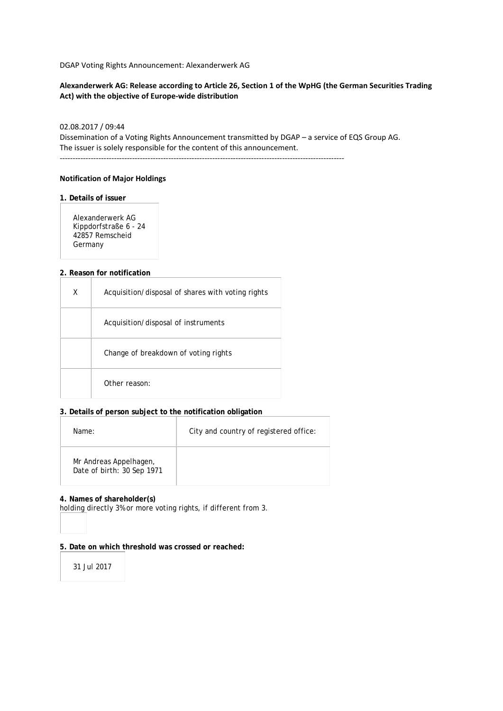DGAP Voting Rights Announcement: Alexanderwerk AG

### **Alexanderwerk AG: Release according to Article 26, Section 1 of the WpHG (the German Securities Trading Act) with the objective of Europe-wide distribution**

### 02.08.2017 / 09:44

Dissemination of a Voting Rights Announcement transmitted by DGAP – a service of EQS Group AG. The issuer is solely responsible for the content of this announcement.

--------------------------------------------------------------------------------------------------------------

### **Notification of Major Holdings**

### **1. Details of issuer**

Alexanderwerk AG Kippdorfstraße 6 - 24 42857 Remscheid Germany

#### **2. Reason for notification**

| x | Acquisition/disposal of shares with voting rights |
|---|---------------------------------------------------|
|   | Acquisition/disposal of instruments               |
|   | Change of breakdown of voting rights              |
|   | Other reason:                                     |

### **3. Details of person subject to the notification obligation**

| Name:                                                | City and country of registered office: |
|------------------------------------------------------|----------------------------------------|
| Mr Andreas Appelhagen,<br>Date of birth: 30 Sep 1971 |                                        |

#### **4. Names of shareholder(s)**

holding directly 3% or more voting rights, if different from 3.

### **5. Date on which threshold was crossed or reached:**

31 Jul 2017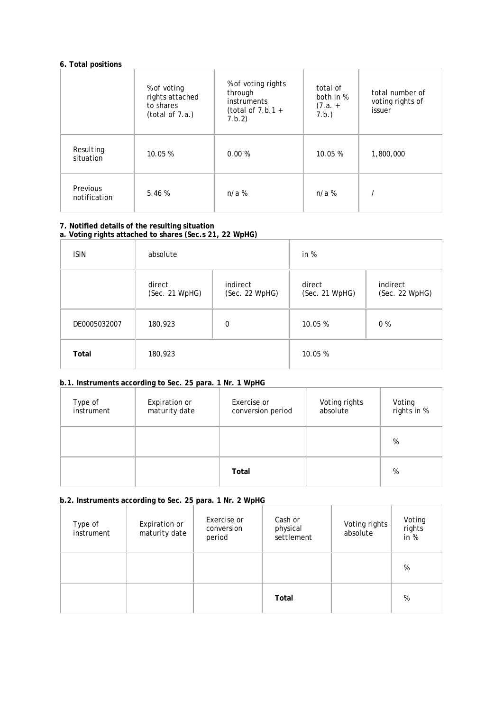# **6. Total positions**

|                          | % of voting<br>rights attached<br>to shares<br>(total of 7.a.) | % of voting rights<br>through<br><i>instruments</i><br>(total of $7.b.1 +$<br>7.b.2) | total of<br>both in %<br>$(7.a. +$<br>7.b.) | total number of<br>voting rights of<br>issuer |
|--------------------------|----------------------------------------------------------------|--------------------------------------------------------------------------------------|---------------------------------------------|-----------------------------------------------|
| Resulting<br>situation   | 10.05 %                                                        | 0.00%                                                                                | 10.05 %                                     | 1,800,000                                     |
| Previous<br>notification | 5.46%                                                          | $n/a$ %                                                                              | $n/a$ %                                     |                                               |

### **7. Notified details of the resulting situation a. Voting rights attached to shares (Sec.s 21, 22 WpHG)**

| <b>ISIN</b>  | absolute                 |                            | in %                     |                            |
|--------------|--------------------------|----------------------------|--------------------------|----------------------------|
|              | direct<br>(Sec. 21 WpHG) | indirect<br>(Sec. 22 WpHG) | direct<br>(Sec. 21 WpHG) | indirect<br>(Sec. 22 WpHG) |
| DE0005032007 | 180,923                  | $\mathbf 0$                | 10.05 %                  | 0 %                        |
| Total        | 180,923                  |                            | 10.05 %                  |                            |

## **b.1. Instruments according to Sec. 25 para. 1 Nr. 1 WpHG**

| Type of<br>instrument | Expiration or<br>maturity date | Exercise or<br>conversion period | Voting rights<br>absolute | Voting<br>rights in % |
|-----------------------|--------------------------------|----------------------------------|---------------------------|-----------------------|
|                       |                                |                                  |                           | %                     |
|                       |                                | Total                            |                           | %                     |

# **b.2. Instruments according to Sec. 25 para. 1 Nr. 2 WpHG**

| Type of<br>instrument | <b>Expiration or</b><br>maturity date | Exercise or<br>conversion<br>period | Cash or<br>physical<br>settlement | Voting rights<br>absolute | Voting<br>rights<br>in $%$ |
|-----------------------|---------------------------------------|-------------------------------------|-----------------------------------|---------------------------|----------------------------|
|                       |                                       |                                     |                                   |                           | %                          |
|                       |                                       |                                     | Total                             |                           | %                          |